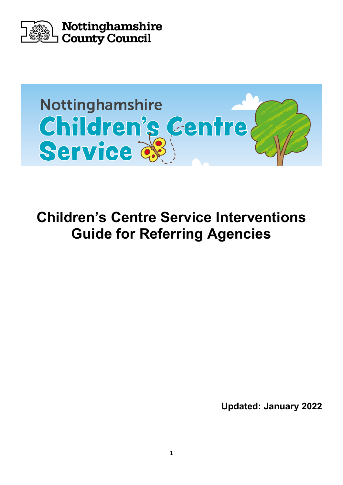



**Children's Centre Service Interventions Guide for Referring Agencies**

**Updated: January 2022**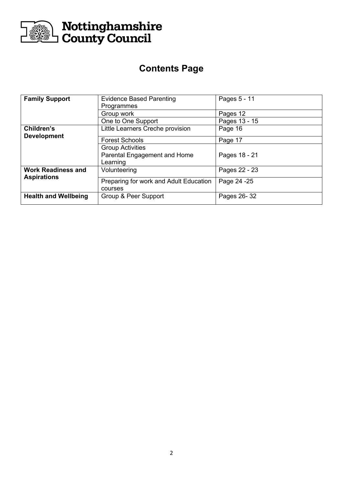

# **Contents Page**

| <b>Family Support</b>                           | <b>Evidence Based Parenting</b>        | Pages 5 - 11  |
|-------------------------------------------------|----------------------------------------|---------------|
|                                                 | Programmes                             |               |
|                                                 | Group work                             | Pages 12      |
|                                                 | One to One Support                     | Pages 13 - 15 |
| Children's                                      | Little Learners Creche provision       | Page 16       |
| <b>Development</b>                              |                                        |               |
|                                                 | <b>Forest Schools</b>                  | Page 17       |
|                                                 | <b>Group Activities</b>                |               |
|                                                 | Parental Engagement and Home           | Pages 18 - 21 |
|                                                 | Learning                               |               |
| <b>Work Readiness and</b><br><b>Aspirations</b> | Volunteering                           | Pages 22 - 23 |
|                                                 |                                        |               |
|                                                 | Preparing for work and Adult Education | Page 24 - 25  |
|                                                 | courses                                |               |
| <b>Health and Wellbeing</b>                     | Group & Peer Support                   | Pages 26-32   |
|                                                 |                                        |               |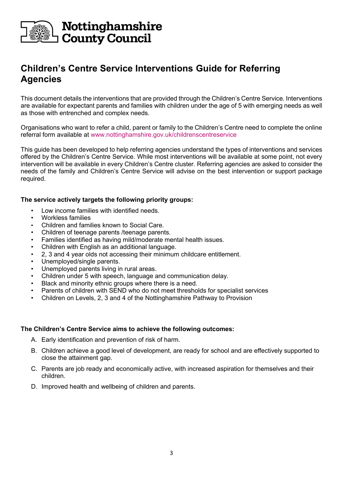

# **Children's Centre Service Interventions Guide for Referring Agencies**

This document details the interventions that are provided through the Children's Centre Service. Interventions are available for expectant parents and families with children under the age of 5 with emerging needs as well as those with entrenched and complex needs.

Organisations who want to refer a child, parent or family to the Children's Centre need to complete the online referral form available at [www.nottinghamshire.gov.uk/childrenscentreservice](http://www.nottinghamshire.gov.uk/childrenscentreservice)

This guide has been developed to help referring agencies understand the types of interventions and services offered by the Children's Centre Service. While most interventions will be available at some point, not every intervention will be available in every Children's Centre cluster. Referring agencies are asked to consider the needs of the family and Children's Centre Service will advise on the best intervention or support package required.

#### **The service actively targets the following priority groups:**

- Low income families with identified needs.
- Workless families
- Children and families known to Social Care.
- Children of teenage parents /teenage parents.
- Families identified as having mild/moderate mental health issues.
- Children with English as an additional language.
- 2, 3 and 4 year olds not accessing their minimum childcare entitlement.
- Unemployed/single parents.
- Unemployed parents living in rural areas.
- Children under 5 with speech, language and communication delay.
- Black and minority ethnic groups where there is a need.
- Parents of children with SEND who do not meet thresholds for specialist services
- Children on Levels, 2, 3 and 4 of the [Nottinghamshire Pathway to Provision](https://www.nottinghamshire.gov.uk/care/childrens-social-care/nottinghamshire-children-and-families-alliance/pathway-to-provision)

#### **The Children's Centre Service aims to achieve the following outcomes:**

- A. Early identification and prevention of risk of harm.
- B. Children achieve a good level of development, are ready for school and are effectively supported to close the attainment gap.
- C. Parents are job ready and economically active, with increased aspiration for themselves and their children.
- D. Improved health and wellbeing of children and parents.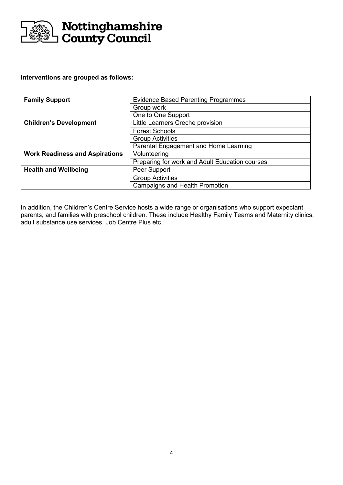

#### **Interventions are grouped as follows:**

| <b>Family Support</b>                 | <b>Evidence Based Parenting Programmes</b>     |  |
|---------------------------------------|------------------------------------------------|--|
|                                       | Group work                                     |  |
|                                       | One to One Support                             |  |
| <b>Children's Development</b>         | Little Learners Creche provision               |  |
|                                       | <b>Forest Schools</b>                          |  |
|                                       | <b>Group Activities</b>                        |  |
|                                       | Parental Engagement and Home Learning          |  |
| <b>Work Readiness and Aspirations</b> | Volunteering                                   |  |
|                                       | Preparing for work and Adult Education courses |  |
| <b>Health and Wellbeing</b>           | Peer Support                                   |  |
|                                       | <b>Group Activities</b>                        |  |
|                                       | <b>Campaigns and Health Promotion</b>          |  |

In addition, the Children's Centre Service hosts a wide range or organisations who support expectant parents, and families with preschool children. These include Healthy Family Teams and Maternity clinics, adult substance use services, Job Centre Plus etc.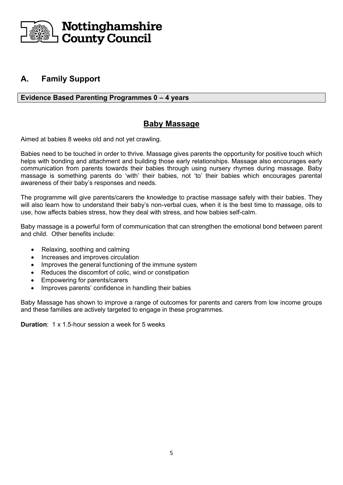

### **A. Family Support**

#### **Evidence Based Parenting Programmes 0 – 4 years**

#### **Baby Massage**

Aimed at babies 8 weeks old and not yet crawling.

Babies need to be touched in order to thrive. Massage gives parents the opportunity for positive touch which helps with bonding and attachment and building those early relationships. Massage also encourages early communication from parents towards their babies through using nursery rhymes during massage. Baby massage is something parents do 'with' their babies, not 'to' their babies which encourages parental awareness of their baby's responses and needs.

The programme will give parents/carers the knowledge to practise massage safely with their babies. They will also learn how to understand their baby's non-verbal cues, when it is the best time to massage, oils to use, how affects babies stress, how they deal with stress, and how babies self-calm.

Baby massage is a powerful form of communication that can strengthen the emotional bond between parent and child. Other benefits include:

- Relaxing, soothing and calming
- Increases and improves circulation
- Improves the general functioning of the immune system
- Reduces the discomfort of colic, wind or constipation
- Empowering for parents/carers
- Improves parents' confidence in handling their babies

Baby Massage has shown to improve a range of outcomes for parents and carers from low income groups and these families are actively targeted to engage in these programmes.

**Duration**: 1 x 1.5-hour session a week for 5 weeks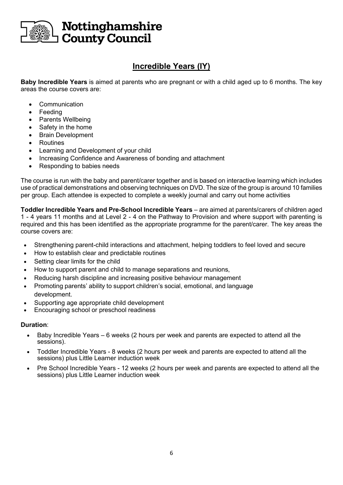

# **Incredible Years (IY)**

**Baby Incredible Years** is aimed at parents who are pregnant or with a child aged up to 6 months. The key areas the course covers are:

- **Communication**
- **Feeding**
- **Parents Wellbeing**
- Safety in the home
- Brain Development
- **Routines**
- Learning and Development of your child
- Increasing Confidence and Awareness of bonding and attachment
- Responding to babies needs

The course is run with the baby and parent/carer together and is based on interactive learning which includes use of practical demonstrations and observing techniques on DVD. The size of the group is around 10 families per group. Each attendee is expected to complete a weekly journal and carry out home activities

**Toddler Incredible Years and Pre-School Incredible Years** – are aimed at parents/carers of children aged 1 - 4 years 11 months and at Level 2 - 4 on the Pathway to Provision and where support with parenting is required and this has been identified as the appropriate programme for the parent/carer. The key areas the course covers are:

- Strengthening parent-child interactions and attachment, helping toddlers to feel loved and secure
- How to establish clear and predictable routines
- Setting clear limits for the child
- How to support parent and child to manage separations and reunions,
- Reducing harsh discipline and increasing positive behaviour management
- Promoting parents' ability to support children's social, emotional, and language development.
- Supporting age appropriate child development
- Encouraging school or preschool readiness

#### **Duration**:

- Baby Incredible Years 6 weeks (2 hours per week and parents are expected to attend all the sessions).
- Toddler Incredible Years 8 weeks (2 hours per week and parents are expected to attend all the sessions) plus Little Learner induction week
- Pre School Incredible Years 12 weeks (2 hours per week and parents are expected to attend all the sessions) plus Little Learner induction week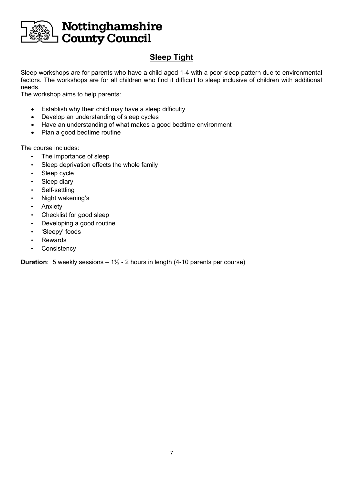

# **Sleep Tight**

Sleep workshops are for parents who have a child aged 1-4 with a poor sleep pattern due to environmental factors. The workshops are for all children who find it difficult to sleep inclusive of children with additional needs.

The workshop aims to help parents:

- Establish why their child may have a sleep difficulty
- Develop an understanding of sleep cycles
- Have an understanding of what makes a good bedtime environment
- Plan a good bedtime routine

The course includes:

- The importance of sleep
- Sleep deprivation effects the whole family
- Sleep cycle
- Sleep diary
- Self-settling
- Night wakening's
- **Anxiety**
- Checklist for good sleep
- Developing a good routine
- 'Sleepy' foods
- Rewards
- Consistency

**Duration**: 5 weekly sessions – 1<sup>1</sup>/<sub>2</sub> - 2 hours in length (4-10 parents per course)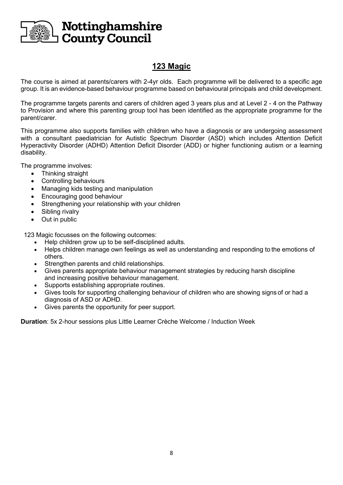

## **123 Magic**

The course is aimed at parents/carers with 2-4yr olds. Each programme will be delivered to a specific age group. It is an evidence-based behaviour programme based on behavioural principals and child development.

The programme targets parents and carers of children aged 3 years plus and at Level 2 - 4 on the Pathway to Provision and where this parenting group tool has been identified as the appropriate programme for the parent/carer.

This programme also supports families with children who have a diagnosis or are undergoing assessment with a consultant paediatrician for Autistic Spectrum Disorder (ASD) which includes Attention Deficit Hyperactivity Disorder (ADHD) Attention Deficit Disorder (ADD) or higher functioning autism or a learning disability.

The programme involves:

- Thinking straight
- Controlling behaviours
- Managing kids testing and manipulation
- Encouraging good behaviour
- Strengthening your relationship with your children
- Sibling rivalry
- Out in public

123 Magic focusses on the following outcomes:

- Help children grow up to be self-disciplined adults.
- Helps children manage own feelings as well as understanding and responding to the emotions of others.
- 
- Strengthen parents and child relationships.<br>• Gives parents appropriate behaviour manar • Gives parents appropriate behaviour management strategies by reducing harsh discipline and increasing positive behaviour management.
- Supports establishing appropriate routines.
- Gives tools for supporting challenging behaviour of children who are showing signs of or had a diagnosis of ASD or ADHD.
- Gives parents the opportunity for peer support.

**Duration**: 5x 2-hour sessions plus Little Learner Crèche Welcome / Induction Week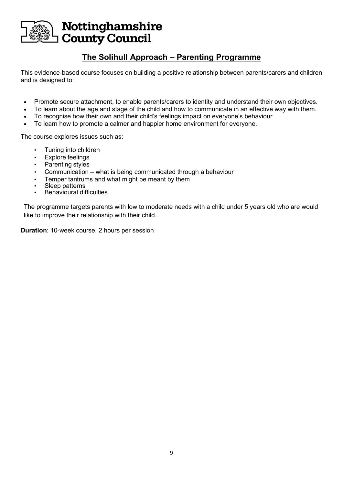

# **The Solihull Approach – Parenting Programme**

This evidence-based course focuses on building a positive relationship between parents/carers and children and is designed to:

- Promote secure attachment, to enable parents/carers to identity and understand their own objectives.
	- To learn about the age and stage of the child and how to communicate in an effective way with them.
- To recognise how their own and their child's feelings impact on everyone's behaviour.
- To learn how to promote a calmer and happier home environment for everyone.

The course explores issues such as:

- Tuning into children
- Explore feelings
- Parenting styles
- Communication what is being communicated through a behaviour
- Temper tantrums and what might be meant by them
- Sleep patterns
- Behavioural difficulties

The programme targets parents with low to moderate needs with a child under 5 years old who are would like to improve their relationship with their child.

**Duration**: 10-week course, 2 hours per session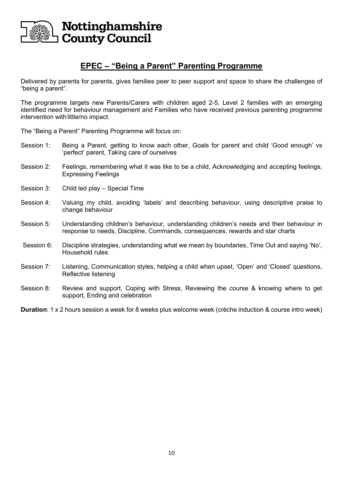

### **EPEC – "Being a Parent" Parenting Programme**

Delivered by parents for parents, gives families peer to peer support and space to share the challenges of "being a parent".

The programme targets new Parents/Carers with children aged 2-5, Level 2 families with an emerging identified need for behaviour management and Families who have received previous parenting programme intervention with little/no impact.

The "Being a Parent" Parenting Programme will focus on:

- Session 1: Being a Parent, getting to know each other, Goals for parent and child 'Good enough' vs 'perfect' parent, Taking care of ourselves
- Session 2: Feelings, remembering what it was like to be a child, Acknowledging and accepting feelings, Expressing Feelings
- Session 3: Child led play Special Time
- Session 4: Valuing my child, avoiding 'labels' and describing behaviour, using descriptive praise to change behaviour
- Session 5: Understanding children's behaviour, understanding children's needs and their behaviour in response to needs, Discipline, Commands, consequences, rewards and star charts
- Session 6: Discipline strategies, understanding what we mean by boundaries, Time Out and saying 'No', Household rules
- Session 7: Listening, Communication styles, helping a child when upset, 'Open' and 'Closed' questions, Reflective listening
- Session 8: Review and support, Coping with Stress, Reviewing the course & knowing where to get support, Ending and celebration

**Duration**: 1 x 2 hours session a week for 8 weeks plus welcome week (crèche induction & course intro week)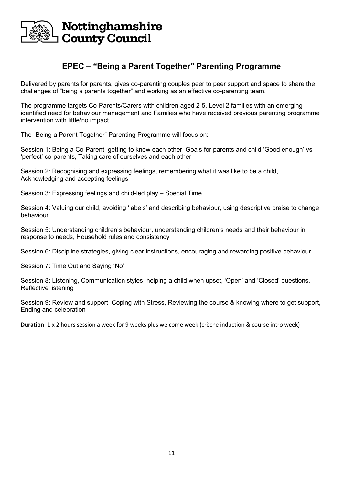

### **EPEC – "Being a Parent Together" Parenting Programme**

Delivered by parents for parents, gives co-parenting couples peer to peer support and space to share the challenges of "being a parents together" and working as an effective co-parenting team.

The programme targets Co-Parents/Carers with children aged 2-5, Level 2 families with an emerging identified need for behaviour management and Families who have received previous parenting programme intervention with little/no impact.

The "Being a Parent Together" Parenting Programme will focus on:

Session 1: Being a Co-Parent, getting to know each other, Goals for parents and child 'Good enough' vs 'perfect' co-parents, Taking care of ourselves and each other

Session 2: Recognising and expressing feelings, remembering what it was like to be a child, Acknowledging and accepting feelings

Session 3: Expressing feelings and child-led play – Special Time

Session 4: Valuing our child, avoiding 'labels' and describing behaviour, using descriptive praise to change behaviour

Session 5: Understanding children's behaviour, understanding children's needs and their behaviour in response to needs, Household rules and consistency

Session 6: Discipline strategies, giving clear instructions, encouraging and rewarding positive behaviour

Session 7: Time Out and Saying 'No'

Session 8: Listening, Communication styles, helping a child when upset, 'Open' and 'Closed' questions, Reflective listening

Session 9: Review and support, Coping with Stress, Reviewing the course & knowing where to get support, Ending and celebration

**Duration**: 1 x 2 hours session a week for 9 weeks plus welcome week (crèche induction & course intro week)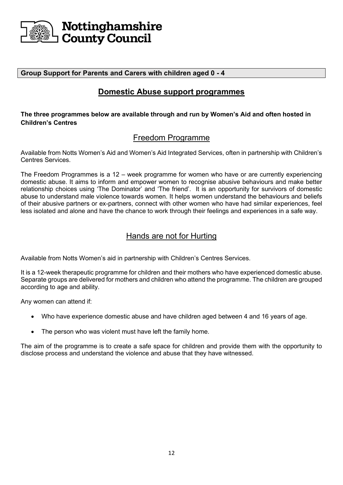

#### **Group Support for Parents and Carers with children aged 0 - 4**

### **Domestic Abuse support programmes**

#### **The three programmes below are available through and run by Women's Aid and often hosted in Children's Centres**

### Freedom Programme

Available from Notts Women's Aid and Women's Aid Integrated Services, often in partnership with Children's Centres Services.

The Freedom Programmes is a 12 – week programme for women who have or are currently experiencing domestic abuse. It aims to inform and empower women to recognise abusive behaviours and make better relationship choices using 'The Dominator' and 'The friend'. It is an opportunity for survivors of domestic abuse to understand male violence towards women. It helps women understand the behaviours and beliefs of their abusive partners or ex-partners, connect with other women who have had similar experiences, feel less isolated and alone and have the chance to work through their feelings and experiences in a safe way.

### Hands are not for Hurting

Available from Notts Women's aid in partnership with Children's Centres Services.

It is a 12-week therapeutic programme for children and their mothers who have experienced domestic abuse. Separate groups are delivered for mothers and children who attend the programme. The children are grouped according to age and ability.

Any women can attend if:

- Who have experience domestic abuse and have children aged between 4 and 16 years of age.
- The person who was violent must have left the family home.

The aim of the programme is to create a safe space for children and provide them with the opportunity to disclose process and understand the violence and abuse that they have witnessed.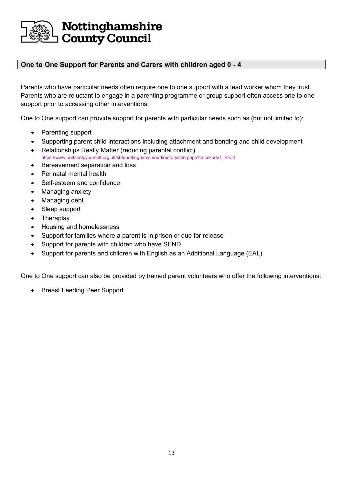

#### **One to One Support for Parents and Carers with children aged 0 - 4**

Parents who have particular needs often require one to one support with a lead worker whom they trust. Parents who are reluctant to engage in a parenting programme or group support often access one to one support prior to accessing other interventions.

One to One support can provide support for parents with particular needs such as (but not limited to):

- Parenting support
- Supporting parent child interactions including attachment and bonding and child development • Relationships Really Matter (reducing parental conflict)
- [https://www.nottshelpyourself.org.uk/kb5/nottinghamshire/directory/site.page?id=xHode1\\_EFJ4](https://www.nottshelpyourself.org.uk/kb5/nottinghamshire/directory/site.page?id=xHode1_EFJ4)
- Bereavement separation and loss
- Perinatal mental health
- Self-esteem and confidence
- Managing anxiety
- Managing debt
- Sleep support
- **Theraplay**
- Housing and homelessness
- Support for families where a parent is in prison or due for release
- Support for parents with children who have SEND
- Support for parents and children with English as an Additional Language (EAL)

One to One support can also be provided by trained parent volunteers who offer the following interventions:

• Breast Feeding Peer Support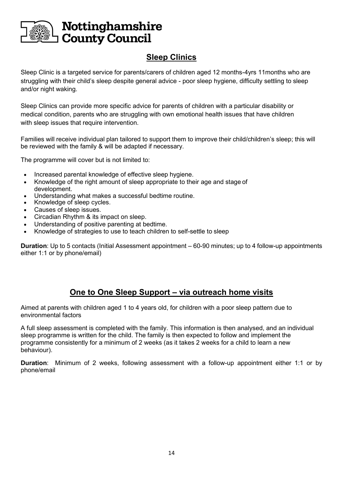

# **Sleep Clinics**

Sleep Clinic is a targeted service for parents/carers of children aged 12 months-4yrs 11months who are struggling with their child's sleep despite general advice - poor sleep hygiene, difficulty settling to sleep and/or night waking.

Sleep Clinics can provide more specific advice for parents of children with a particular disability or medical condition, parents who are struggling with own emotional health issues that have children with sleep issues that require intervention.

Families will receive individual plan tailored to support them to improve their child/children's sleep; this will be reviewed with the family & will be adapted if necessary.

The programme will cover but is not limited to:

- Increased parental knowledge of effective sleep hygiene.
- Knowledge of the right amount of sleep appropriate to their age and stage of development.
- Understanding what makes a successful bedtime routine.
- Knowledge of sleep cycles.
- Causes of sleep issues.
- Circadian Rhythm & its impact on sleep.
- Understanding of positive parenting at bedtime.
- Knowledge of strategies to use to teach children to self-settle to sleep

**Duration**: Up to 5 contacts (Initial Assessment appointment – 60-90 minutes; up to 4 follow-up appointments either 1:1 or by phone/email)

### **One to One Sleep Support – via outreach home visits**

Aimed at parents with children aged 1 to 4 years old, for children with a poor sleep pattern due to environmental factors

A full sleep assessment is completed with the family. This information is then analysed, and an individual sleep programme is written for the child. The family is then expected to follow and implement the programme consistently for a minimum of 2 weeks (as it takes 2 weeks for a child to learn a new behaviour).

**Duration**: Minimum of 2 weeks, following assessment with a follow-up appointment either 1:1 or by phone/email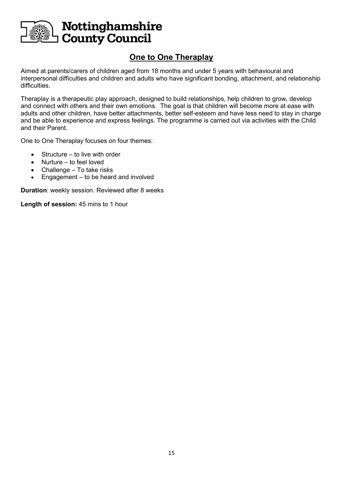

# **One to One Theraplay**

Aimed at parents/carers of children aged from 18 months and under 5 years with behavioural and interpersonal difficulties and children and adults who have significant bonding, attachment, and relationship difficulties.

Theraplay is a therapeutic play approach, designed to build relationships, help children to grow, develop and connect with others and their own emotions. The goal is that children will become more at ease with adults and other children, have better attachments, better self-esteem and have less need to stay in charge and be able to experience and express feelings. The programme is carried out via activities with the Child and their Parent.

One to One Theraplay focuses on four themes:

- Structure to live with order
- Nurture to feel loved
- Challenge To take risks
- Engagement  $-$  to be heard and involved

**Duration**: weekly session. Reviewed after 8 weeks

**Length of session:** 45 mins to 1 hour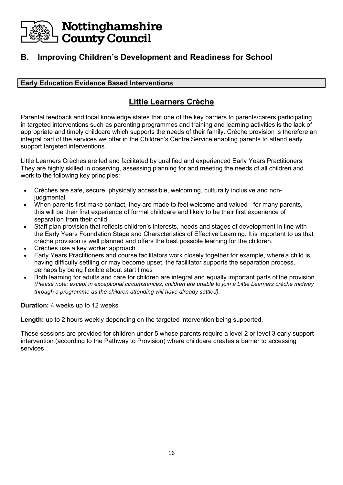

### **B. Improving Children's Development and Readiness for School**

#### **Early Education Evidence Based Interventions**

### **Little Learners Crèche**

Parental feedback and local knowledge states that one of the key barriers to parents/carers participating in targeted interventions such as parenting programmes and training and learning activities is the lack of appropriate and timely childcare which supports the needs of their family. Crèche provision is therefore an integral part of the services we offer in the Children's Centre Service enabling parents to attend early support targeted interventions.

Little Learners Crèches are led and facilitated by qualified and experienced Early Years Practitioners. They are highly skilled in observing, assessing planning for and meeting the needs of all children and work to the following key principles:

- Crèches are safe, secure, physically accessible, welcoming, culturally inclusive and nonjudgmental
- When parents first make contact, they are made to feel welcome and valued for many parents, this will be their first experience of formal childcare and likely to be their first experience of separation from their child
- Staff plan provision that reflects children's interests, needs and stages of development in line with the Early Years Foundation Stage and Characteristics of Effective Learning. It is important to us that crèche provision is well planned and offers the best possible learning for the children.
- Crèches use a key worker approach
- Early Years Practitioners and course facilitators work closely together for example, where a child is having difficulty settling or may become upset, the facilitator supports the separation process, perhaps by being flexible about start times
- Both learning for adults and care for children are integral and equally important parts of the provision. *(Please note: except in exceptional circumstances, children are unable to join a Little Learners crèche midway through a programme as the children attending will have already settled).*

**Duration:** 4 weeks up to 12 weeks

**Length:** up to 2 hours weekly depending on the targeted intervention being supported.

These sessions are provided for children under 5 whose parents require a level 2 or level 3 early support intervention (according to the Pathway to Provision) where childcare creates a barrier to accessing services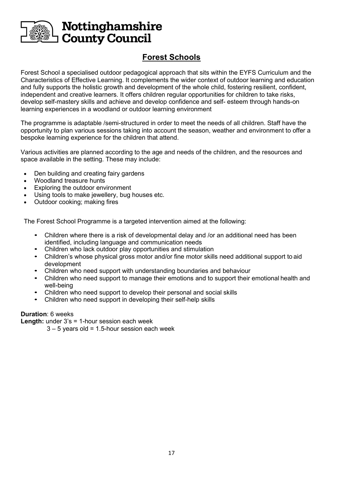

# **Forest Schools**

Forest School a specialised outdoor pedagogical approach that sits within the EYFS Curriculum and the Characteristics of Effective Learning. It complements the wider context of outdoor learning and education and fully supports the holistic growth and development of the whole child, fostering resilient, confident, independent and creative learners. It offers children regular opportunities for children to take risks, develop self-mastery skills and achieve and develop confidence and self- esteem through hands-on learning experiences in a woodland or outdoor learning environment

The programme is adaptable /semi-structured in order to meet the needs of all children. Staff have the opportunity to plan various sessions taking into account the season, weather and environment to offer a bespoke learning experience for the children that attend.

Various activities are planned according to the age and needs of the children, and the resources and space available in the setting. These may include:

- Den building and creating fairy gardens
- Woodland treasure hunts
- Exploring the outdoor environment
- Using tools to make jewellery, bug houses etc.
- Outdoor cooking; making fires

The Forest School Programme is a targeted intervention aimed at the following:

- Children where there is a risk of developmental delay and /or an additional need has been identified, including language and communication needs
- Children who lack outdoor play opportunities and stimulation
- Children's whose physical gross motor and/or fine motor skills need additional support to aid development
- Children who need support with understanding boundaries and behaviour
- Children who need support to manage their emotions and to support their emotional health and well-being
- Children who need support to develop their personal and social skills<br>• Children who need support in developing their self-help skills
- Children who need support in developing their self-help skills

#### **Duration**: 6 weeks

**Length:** under 3's = 1-hour session each week

 $3 - 5$  years old = 1.5-hour session each week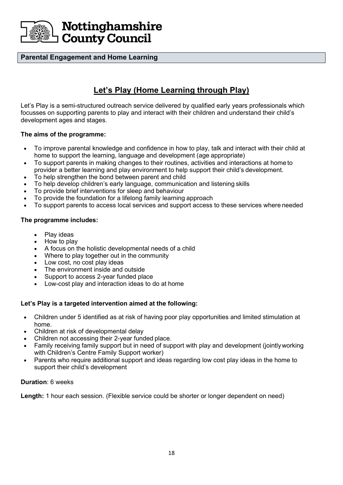

#### **Parental Engagement and Home Learning**

# **Let's Play (Home Learning through Play)**

Let's Play is a semi-structured outreach service delivered by qualified early years professionals which focusses on supporting parents to play and interact with their children and understand their child's development ages and stages.

#### **The aims of the programme:**

- To improve parental knowledge and confidence in how to play, talk and interact with their child at home to support the learning, language and development (age appropriate)
- To support parents in making changes to their routines, activities and interactions at home to provider a better learning and play environment to help support their child's development.
- To help strengthen the bond between parent and child
- To help develop children's early language, communication and listening skills
- To provide brief interventions for sleep and behaviour
- To provide the foundation for a lifelong family learning approach
- To support parents to access local services and support access to these services where needed

#### **The programme includes:**

- Play ideas
- How to play
- A focus on the holistic developmental needs of a child
- Where to play together out in the community
- Low cost, no cost play ideas
- The environment inside and outside
- Support to access 2-year funded place
- Low-cost play and interaction ideas to do at home

#### **Let's Play is a targeted intervention aimed at the following:**

- Children under 5 identified as at risk of having poor play opportunities and limited stimulation at home.
- Children at risk of developmental delay
- Children not accessing their 2-year funded place.
- Family receiving family support but in need of support with play and development (jointlyworking with Children's Centre Family Support worker)
- Parents who require additional support and ideas regarding low cost play ideas in the home to support their child's development

#### **Duration**: 6 weeks

**Length:** 1 hour each session. (Flexible service could be shorter or longer dependent on need)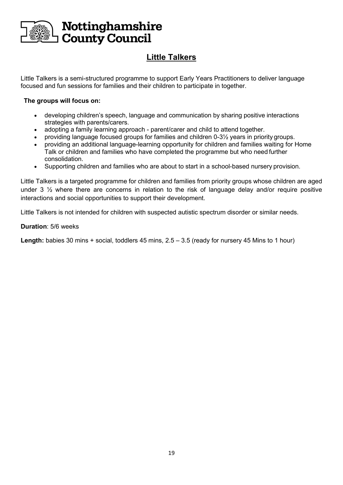

# **Little Talkers**

Little Talkers is a semi-structured programme to support Early Years Practitioners to deliver language focused and fun sessions for families and their children to participate in together.

#### **The groups will focus on:**

- developing children's speech, language and communication by sharing positive interactions strategies with parents/carers.
- adopting a family learning approach parent/carer and child to attend together.
- providing language focused groups for families and children 0-3½ years in priority groups.
- providing an additional language-learning opportunity for children and families waiting for Home Talk or children and families who have completed the programme but who need further consolidation.
- Supporting children and families who are about to start in a school-based nursery provision.

Little Talkers is a targeted programme for children and families from priority groups whose children are aged under 3 ½ where there are concerns in relation to the risk of language delay and/or require positive interactions and social opportunities to support their development.

Little Talkers is not intended for children with suspected autistic spectrum disorder or similar needs.

#### **Duration**: 5/6 weeks

**Length:** babies 30 mins + social, toddlers 45 mins, 2.5 – 3.5 (ready for nursery 45 Mins to 1 hour)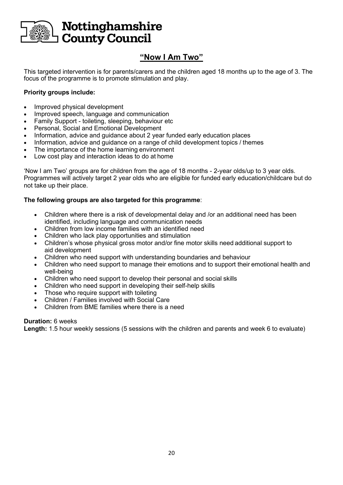

# **"Now I Am Two"**

This targeted intervention is for parents/carers and the children aged 18 months up to the age of 3. The focus of the programme is to promote stimulation and play.

#### **Priority groups include:**

- Improved physical development
- Improved speech, language and communication
- Family Support toileting, sleeping, behaviour etc
- Personal, Social and Emotional Development
- Information, advice and guidance about 2 year funded early education places
- Information, advice and guidance on a range of child development topics / themes
- The importance of the home learning environment
- Low cost play and interaction ideas to do at home

'Now I am Two' groups are for children from the age of 18 months - 2-year olds/up to 3 year olds. Programmes will actively target 2 year olds who are eligible for funded early education/childcare but do not take up their place.

#### **The following groups are also targeted for this programme**:

- Children where there is a risk of developmental delay and /or an additional need has been identified, including language and communication needs
- Children from low income families with an identified need
- Children who lack play opportunities and stimulation
- Children's whose physical gross motor and/or fine motor skills need additional support to aid development
- Children who need support with understanding boundaries and behaviour
- Children who need support to manage their emotions and to support their emotional health and well-being
- Children who need support to develop their personal and social skills
- Children who need support in developing their self-help skills
- Those who require support with toileting
- Children / Families involved with Social Care
- Children from BME families where there is a need

#### **Duration:** 6 weeks

**Length:** 1.5 hour weekly sessions (5 sessions with the children and parents and week 6 to evaluate)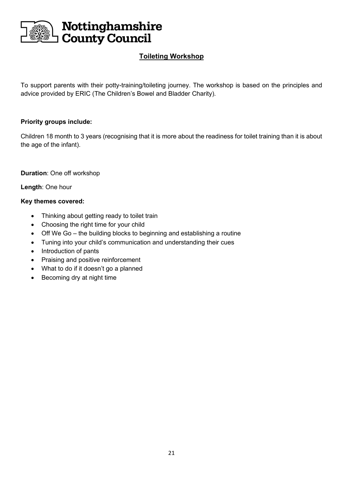

### **Toileting Workshop**

To support parents with their potty-training/toileting journey. The workshop is based on the principles and advice provided by ERIC (The Children's Bowel and Bladder Charity).

#### **Priority groups include:**

Children 18 month to 3 years (recognising that it is more about the readiness for toilet training than it is about the age of the infant).

**Duration**: One off workshop

**Length**: One hour

#### **Key themes covered:**

- Thinking about getting ready to toilet train
- Choosing the right time for your child
- Off We Go the building blocks to beginning and establishing a routine
- Tuning into your child's communication and understanding their cues
- Introduction of pants
- Praising and positive reinforcement
- What to do if it doesn't go a planned
- Becoming dry at night time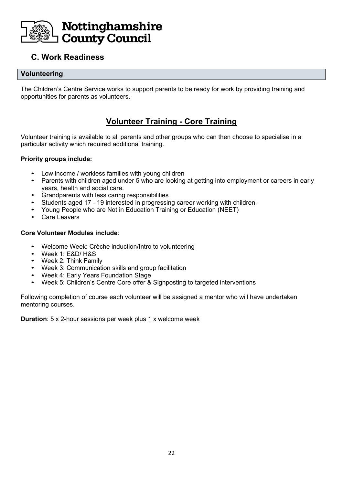

### **C. Work Readiness**

#### **Volunteering**

The Children's Centre Service works to support parents to be ready for work by providing training and opportunities for parents as volunteers.

### **Volunteer Training - Core Training**

Volunteer training is available to all parents and other groups who can then choose to specialise in a particular activity which required additional training.

#### **Priority groups include:**

- Low income / workless families with young children
- Parents with children aged under 5 who are looking at getting into employment or careers in early years, health and social care.
- Grandparents with less caring responsibilities
- Students aged 17 19 interested in progressing career working with children.
- Young People who are Not in Education Training or Education (NEET)
- Care Leavers

#### **Core Volunteer Modules include**:

- Welcome Week: Crèche induction/Intro to volunteering
- Week 1: E&D/ H&S
- Week 2: Think Family
- Week 3: Communication skills and group facilitation
- Week 4: Early Years Foundation Stage
- Week 5: Children's Centre Core offer & Signposting to targeted interventions

Following completion of course each volunteer will be assigned a mentor who will have undertaken mentoring courses.

**Duration**: 5 x 2-hour sessions per week plus 1 x welcome week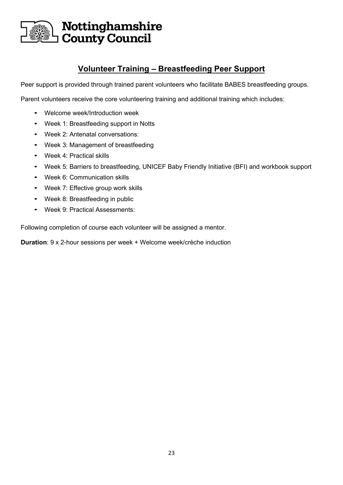

### **Volunteer Training – Breastfeeding Peer Support**

Peer support is provided through trained parent volunteers who facilitate BABES breastfeeding groups.

Parent volunteers receive the core volunteering training and additional training which includes:

- Welcome week/Introduction week
- Week 1: Breastfeeding support in Notts
- Week 2: Antenatal conversations:
- Week 3: Management of breastfeeding
- Week 4: Practical skills
- Week 5: Barriers to breastfeeding, UNICEF Baby Friendly Initiative (BFI) and workbook support
- Week 6: Communication skills
- Week 7: Effective group work skills
- Week 8: Breastfeeding in public
- Week 9: Practical Assessments:

Following completion of course each volunteer will be assigned a mentor.

**Duration**: 9 x 2-hour sessions per week + Welcome week/crèche induction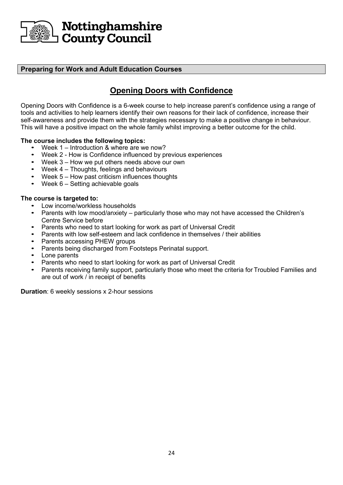

#### **Preparing for Work and Adult Education Courses**

# **Opening Doors with Confidence**

Opening Doors with Confidence is a 6-week course to help increase parent's confidence using a range of tools and activities to help learners identify their own reasons for their lack of confidence, increase their self-awareness and provide them with the strategies necessary to make a positive change in behaviour. This will have a positive impact on the whole family whilst improving a better outcome for the child.

#### **The course includes the following topics:**

- Week 1 Introduction & where are we now?
- Week 2 How is Confidence influenced by previous experiences
- Week  $3 -$  How we put others needs above our own
- Week 4 Thoughts, feelings and behaviours
- Week 5 How past criticism influences thoughts
- Week  $6 -$  Setting achievable goals

#### **The course is targeted to:**

- Low income/workless households
- Parents with low mood/anxiety particularly those who may not have accessed the Children's Centre Service before
- Parents who need to start looking for work as part of Universal Credit
- Parents with low self-esteem and lack confidence in themselves / their abilities
- Parents accessing PHEW groups
- Parents being discharged from Footsteps Perinatal support.
- Lone parents
- Parents who need to start looking for work as part of Universal Credit
- Parents receiving family support, particularly those who meet the criteria for Troubled Families and are out of work / in receipt of benefits

**Duration**: 6 weekly sessions x 2-hour sessions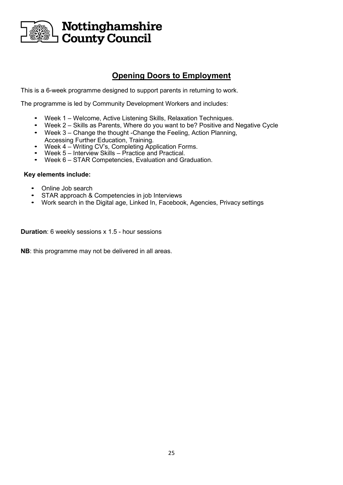

### **Opening Doors to Employment**

This is a 6-week programme designed to support parents in returning to work.

The programme is led by Community Development Workers and includes:

- Week 1 Welcome, Active Listening Skills, Relaxation Techniques.
- Week 2 Skills as Parents, Where do you want to be? Positive and Negative Cycle
- Week 3 Change the thought -Change the Feeling, Action Planning, Accessing Further Education, Training.
- Week 4 Writing CV's, Completing Application Forms.
- Week 5 Interview Skills Practice and Practical.<br>• Week 6 STAR Competencies, Evaluation and Gu
- Week 6 STAR Competencies, Evaluation and Graduation.

#### **Key elements include:**

- Online Job search
- STAR approach & Competencies in job Interviews
- Work search in the Digital age, Linked In, Facebook, Agencies, Privacy settings

**Duration**: 6 weekly sessions x 1.5 - hour sessions

**NB**: this programme may not be delivered in all areas.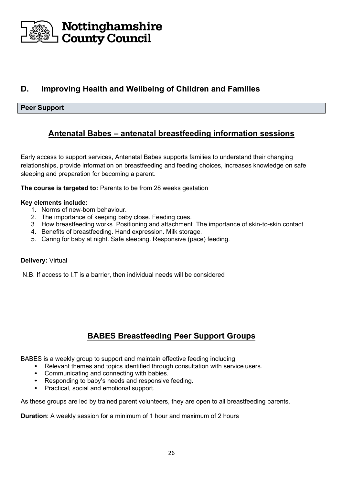

# **D. Improving Health and Wellbeing of Children and Families**

#### **Peer Support**

### **Antenatal Babes – antenatal breastfeeding information sessions**

Early access to support services, Antenatal Babes supports families to understand their changing relationships, provide information on breastfeeding and feeding choices, increases knowledge on safe sleeping and preparation for becoming a parent.

**The course is targeted to:** Parents to be from 28 weeks gestation

#### **Key elements include:**

- 1. Norms of new-born behaviour.
- 2. The importance of keeping baby close. Feeding cues.
- 3. How breastfeeding works. Positioning and attachment. The importance of skin-to-skin contact.
- 4. Benefits of breastfeeding. Hand expression. Milk storage.
- 5. Caring for baby at night. Safe sleeping. Responsive (pace) feeding.

#### **Delivery:** Virtual

N.B. If access to I.T is a barrier, then individual needs will be considered

### **BABES Breastfeeding Peer Support Groups**

BABES is a weekly group to support and maintain effective feeding including:

- Relevant themes and topics identified through consultation with service users.
- Communicating and connecting with babies.
- Responding to baby's needs and responsive feeding.
- Practical, social and emotional support.

As these groups are led by trained parent volunteers, they are open to all breastfeeding parents.

**Duration**: A weekly session for a minimum of 1 hour and maximum of 2 hours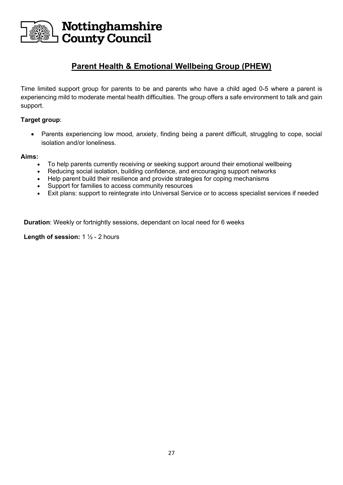

### **Parent Health & Emotional Wellbeing Group (PHEW)**

Time limited support group for parents to be and parents who have a child aged 0-5 where a parent is experiencing mild to moderate mental health difficulties. The group offers a safe environment to talk and gain support.

#### **Target group**:

• Parents experiencing low mood, anxiety, finding being a parent difficult, struggling to cope, social isolation and/or loneliness.

#### **Aims:**

- To help parents currently receiving or seeking support around their emotional wellbeing
- Reducing social isolation, building confidence, and encouraging support networks
- Help parent build their resilience and provide strategies for coping mechanisms
- Support for families to access community resources
- Exit plans: support to reintegrate into Universal Service or to access specialist services if needed

**Duration**: Weekly or fortnightly sessions, dependant on local need for 6 weeks

**Length of session:** 1 ½ - 2 hours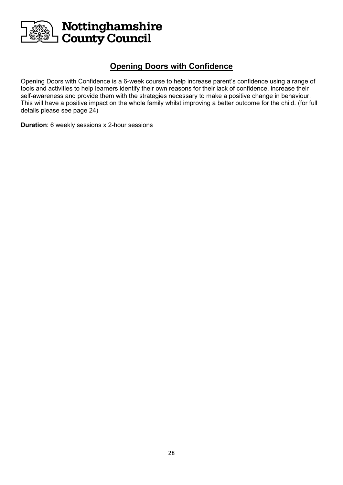

### **Opening Doors with Confidence**

Opening Doors with Confidence is a 6-week course to help increase parent's confidence using a range of tools and activities to help learners identify their own reasons for their lack of confidence, increase their self-awareness and provide them with the strategies necessary to make a positive change in behaviour. This will have a positive impact on the whole family whilst improving a better outcome for the child. (for full details please see page 24)

**Duration**: 6 weekly sessions x 2-hour sessions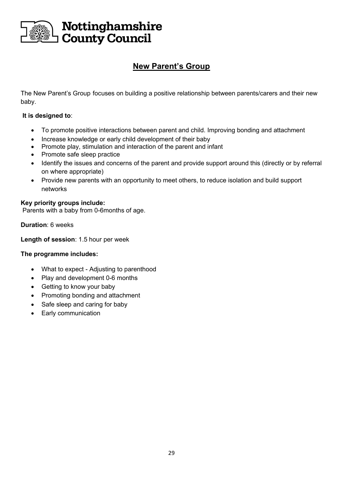

# **New Parent's Group**

The New Parent's Group focuses on building a positive relationship between parents/carers and their new baby.

#### **It is designed to**:

- To promote positive interactions between parent and child. Improving bonding and attachment
- Increase knowledge or early child development of their baby
- Promote play, stimulation and interaction of the parent and infant
- Promote safe sleep practice
- Identify the issues and concerns of the parent and provide support around this (directly or by referral on where appropriate)
- Provide new parents with an opportunity to meet others, to reduce isolation and build support networks

#### **Key priority groups include:**

Parents with a baby from 0-6months of age.

**Duration**: 6 weeks

**Length of session**: 1.5 hour per week

#### **The programme includes:**

- What to expect Adjusting to parenthood
- Play and development 0-6 months
- Getting to know your baby
- Promoting bonding and attachment
- Safe sleep and caring for baby
- Early communication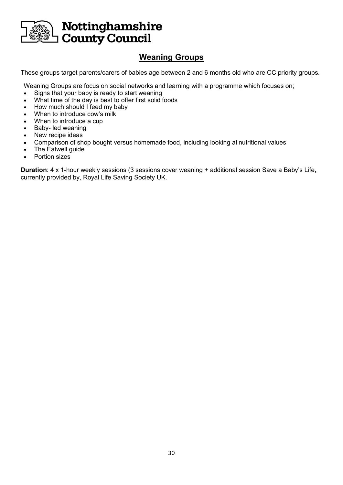

# **Weaning Groups**

These groups target parents/carers of babies age between 2 and 6 months old who are CC priority groups.

Weaning Groups are focus on social networks and learning with a programme which focuses on;

- Signs that your baby is ready to start weaning
- What time of the day is best to offer first solid foods
- How much should I feed my baby
- When to introduce cow's milk
- When to introduce a cup
- Baby- led weaning
- New recipe ideas
- Comparison of shop bought versus homemade food, including looking at nutritional values
- The Eatwell guide
- Portion sizes

**Duration**: 4 x 1-hour weekly sessions (3 sessions cover weaning + additional session Save a Baby's Life, currently provided by, Royal Life Saving Society UK.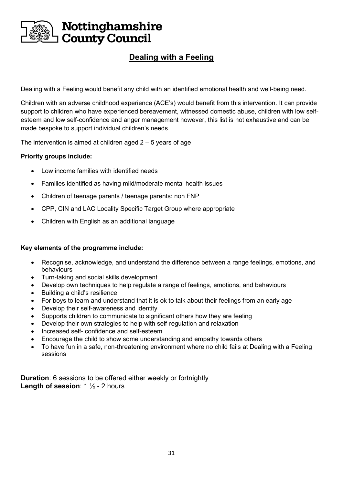

# **Dealing with a Feeling**

Dealing with a Feeling would benefit any child with an identified emotional health and well-being need.

Children with an adverse childhood experience (ACE's) would benefit from this intervention. It can provide support to children who have experienced bereavement, witnessed domestic abuse, children with low selfesteem and low self-confidence and anger management however, this list is not exhaustive and can be made bespoke to support individual children's needs.

The intervention is aimed at children aged  $2 - 5$  years of age

#### **Priority groups include:**

- Low income families with identified needs
- Families identified as having mild/moderate mental health issues
- Children of teenage parents / teenage parents: non FNP
- CPP, CIN and LAC Locality Specific Target Group where appropriate
- Children with English as an additional language

#### **Key elements of the programme include:**

- Recognise, acknowledge, and understand the difference between a range feelings, emotions, and behaviours
- Turn-taking and social skills development
- Develop own techniques to help regulate a range of feelings, emotions, and behaviours
- Building a child's resilience
- For boys to learn and understand that it is ok to talk about their feelings from an early age
- Develop their self-awareness and identity
- Supports children to communicate to significant others how they are feeling
- Develop their own strategies to help with self-regulation and relaxation
- Increased self- confidence and self-esteem
- Encourage the child to show some understanding and empathy towards others
- To have fun in a safe, non-threatening environment where no child fails at Dealing with a Feeling sessions

**Duration**: 6 sessions to be offered either weekly or fortnightly **Length of session**: 1 ½ - 2 hours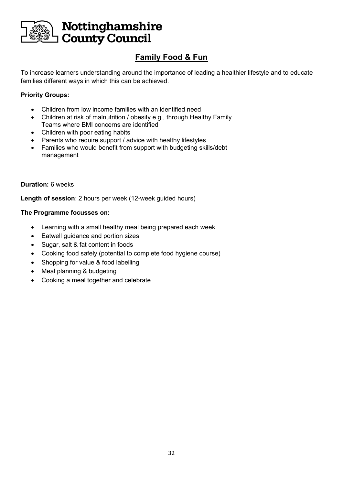

# **Family Food & Fun**

To increase learners understanding around the importance of leading a healthier lifestyle and to educate families different ways in which this can be achieved.

#### **Priority Groups:**

- Children from low income families with an identified need
- Children at risk of malnutrition / obesity e.g., through Healthy Family Teams where BMI concerns are identified
- Children with poor eating habits
- Parents who require support / advice with healthy lifestyles
- Families who would benefit from support with budgeting skills/debt management

#### **Duration:** 6 weeks

**Length of session**: 2 hours per week (12-week guided hours)

#### **The Programme focusses on:**

- Learning with a small healthy meal being prepared each week
- Eatwell guidance and portion sizes
- Sugar, salt & fat content in foods
- Cooking food safely (potential to complete food hygiene course)
- Shopping for value & food labelling
- Meal planning & budgeting
- Cooking a meal together and celebrate